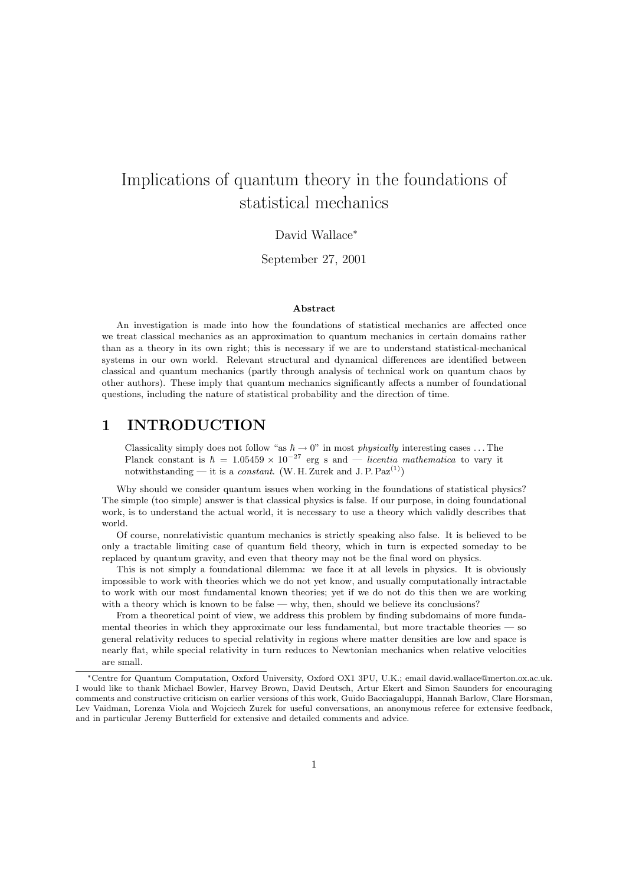# Implications of quantum theory in the foundations of statistical mechanics

### David Wallace<sup>∗</sup>

September 27, 2001

#### Abstract

An investigation is made into how the foundations of statistical mechanics are affected once we treat classical mechanics as an approximation to quantum mechanics in certain domains rather than as a theory in its own right; this is necessary if we are to understand statistical-mechanical systems in our own world. Relevant structural and dynamical differences are identified between classical and quantum mechanics (partly through analysis of technical work on quantum chaos by other authors). These imply that quantum mechanics significantly affects a number of foundational questions, including the nature of statistical probability and the direction of time.

### 1 INTRODUCTION

Classicality simply does not follow "as  $\hbar \to 0$ " in most *physically* interesting cases ... The Planck constant is  $\hbar = 1.05459 \times 10^{-27}$  erg s and — licentia mathematica to vary it notwithstanding — it is a *constant*. (W. H. Zurek and J. P.  $\text{Paz}^{(1)}$ )

Why should we consider quantum issues when working in the foundations of statistical physics? The simple (too simple) answer is that classical physics is false. If our purpose, in doing foundational work, is to understand the actual world, it is necessary to use a theory which validly describes that world.

Of course, nonrelativistic quantum mechanics is strictly speaking also false. It is believed to be only a tractable limiting case of quantum field theory, which in turn is expected someday to be replaced by quantum gravity, and even that theory may not be the final word on physics.

This is not simply a foundational dilemma: we face it at all levels in physics. It is obviously impossible to work with theories which we do not yet know, and usually computationally intractable to work with our most fundamental known theories; yet if we do not do this then we are working with a theory which is known to be false — why, then, should we believe its conclusions?

From a theoretical point of view, we address this problem by finding subdomains of more fundamental theories in which they approximate our less fundamental, but more tractable theories — so general relativity reduces to special relativity in regions where matter densities are low and space is nearly flat, while special relativity in turn reduces to Newtonian mechanics when relative velocities are small.

<sup>∗</sup>Centre for Quantum Computation, Oxford University, Oxford OX1 3PU, U.K.; email david.wallace@merton.ox.ac.uk. I would like to thank Michael Bowler, Harvey Brown, David Deutsch, Artur Ekert and Simon Saunders for encouraging comments and constructive criticism on earlier versions of this work, Guido Bacciagaluppi, Hannah Barlow, Clare Horsman, Lev Vaidman, Lorenza Viola and Wojciech Zurek for useful conversations, an anonymous referee for extensive feedback, and in particular Jeremy Butterfield for extensive and detailed comments and advice.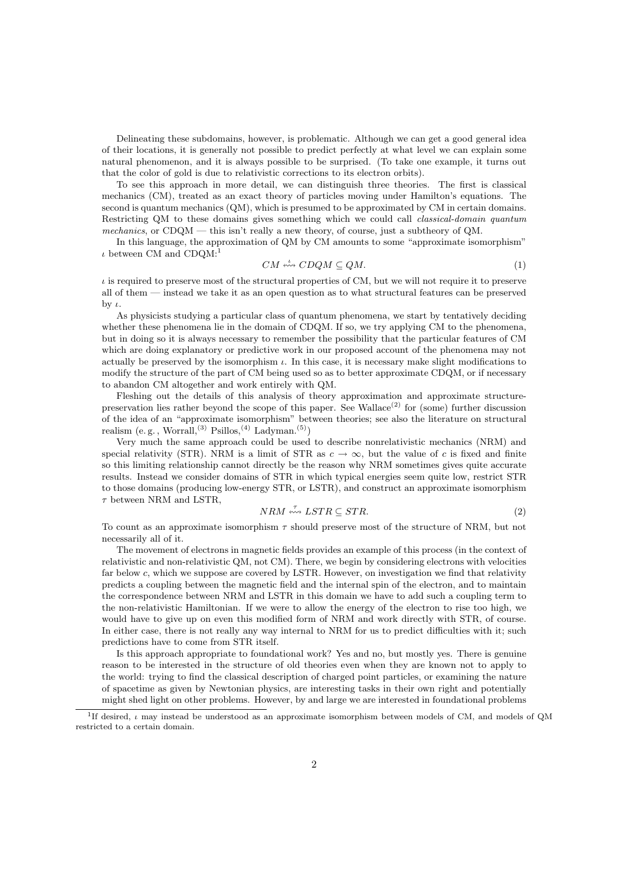Delineating these subdomains, however, is problematic. Although we can get a good general idea of their locations, it is generally not possible to predict perfectly at what level we can explain some natural phenomenon, and it is always possible to be surprised. (To take one example, it turns out that the color of gold is due to relativistic corrections to its electron orbits).

To see this approach in more detail, we can distinguish three theories. The first is classical mechanics (CM), treated as an exact theory of particles moving under Hamilton's equations. The second is quantum mechanics (QM), which is presumed to be approximated by CM in certain domains. Restricting QM to these domains gives something which we could call classical-domain quantum mechanics, or CDQM — this isn't really a new theory, of course, just a subtheory of QM.

In this language, the approximation of QM by CM amounts to some "approximate isomorphism"  $\iota$  between CM and CDQM:<sup>1</sup>

$$
CM \stackrel{\iota}{\leftrightsquigarrow} CDQM \subseteq QM. \tag{1}
$$

 $\iota$  is required to preserve most of the structural properties of CM, but we will not require it to preserve all of them — instead we take it as an open question as to what structural features can be preserved by  $\iota$ .

As physicists studying a particular class of quantum phenomena, we start by tentatively deciding whether these phenomena lie in the domain of CDQM. If so, we try applying CM to the phenomena, but in doing so it is always necessary to remember the possibility that the particular features of CM which are doing explanatory or predictive work in our proposed account of the phenomena may not actually be preserved by the isomorphism  $\iota$ . In this case, it is necessary make slight modifications to modify the structure of the part of CM being used so as to better approximate CDQM, or if necessary to abandon CM altogether and work entirely with QM.

Fleshing out the details of this analysis of theory approximation and approximate structurepreservation lies rather beyond the scope of this paper. See Wallace<sup>(2)</sup> for (some) further discussion of the idea of an "approximate isomorphism" between theories; see also the literature on structural realism (e.g., Worrall,<sup>(3)</sup> Psillos,<sup>(4)</sup> Ladyman.<sup>(5)</sup>)

Very much the same approach could be used to describe nonrelativistic mechanics (NRM) and special relativity (STR). NRM is a limit of STR as  $c \to \infty$ , but the value of c is fixed and finite so this limiting relationship cannot directly be the reason why NRM sometimes gives quite accurate results. Instead we consider domains of STR in which typical energies seem quite low, restrict STR to those domains (producing low-energy STR, or LSTR), and construct an approximate isomorphism  $\tau$  between NRM and LSTR,

$$
NRM \stackrel{\tau}{\leftrightsquigarrow} LSTM \subseteq STR. \tag{2}
$$

To count as an approximate isomorphism  $\tau$  should preserve most of the structure of NRM, but not necessarily all of it.

The movement of electrons in magnetic fields provides an example of this process (in the context of relativistic and non-relativistic QM, not CM). There, we begin by considering electrons with velocities far below c, which we suppose are covered by LSTR. However, on investigation we find that relativity predicts a coupling between the magnetic field and the internal spin of the electron, and to maintain the correspondence between NRM and LSTR in this domain we have to add such a coupling term to the non-relativistic Hamiltonian. If we were to allow the energy of the electron to rise too high, we would have to give up on even this modified form of NRM and work directly with STR, of course. In either case, there is not really any way internal to NRM for us to predict difficulties with it; such predictions have to come from STR itself.

Is this approach appropriate to foundational work? Yes and no, but mostly yes. There is genuine reason to be interested in the structure of old theories even when they are known not to apply to the world: trying to find the classical description of charged point particles, or examining the nature of spacetime as given by Newtonian physics, are interesting tasks in their own right and potentially might shed light on other problems. However, by and large we are interested in foundational problems

<sup>1</sup> If desired, ι may instead be understood as an approximate isomorphism between models of CM, and models of QM restricted to a certain domain.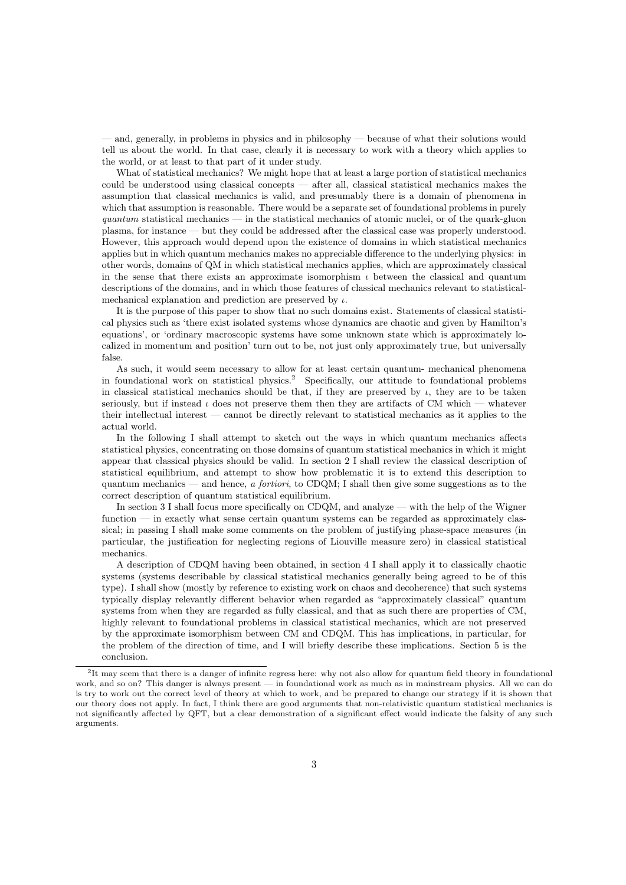— and, generally, in problems in physics and in philosophy — because of what their solutions would tell us about the world. In that case, clearly it is necessary to work with a theory which applies to the world, or at least to that part of it under study.

What of statistical mechanics? We might hope that at least a large portion of statistical mechanics could be understood using classical concepts — after all, classical statistical mechanics makes the assumption that classical mechanics is valid, and presumably there is a domain of phenomena in which that assumption is reasonable. There would be a separate set of foundational problems in purely  $quantum$  statistical mechanics — in the statistical mechanics of atomic nuclei, or of the quark-gluon plasma, for instance — but they could be addressed after the classical case was properly understood. However, this approach would depend upon the existence of domains in which statistical mechanics applies but in which quantum mechanics makes no appreciable difference to the underlying physics: in other words, domains of QM in which statistical mechanics applies, which are approximately classical in the sense that there exists an approximate isomorphism  $\iota$  between the classical and quantum descriptions of the domains, and in which those features of classical mechanics relevant to statisticalmechanical explanation and prediction are preserved by  $\iota$ .

It is the purpose of this paper to show that no such domains exist. Statements of classical statistical physics such as 'there exist isolated systems whose dynamics are chaotic and given by Hamilton's equations', or 'ordinary macroscopic systems have some unknown state which is approximately localized in momentum and position' turn out to be, not just only approximately true, but universally false.

As such, it would seem necessary to allow for at least certain quantum- mechanical phenomena in foundational work on statistical physics.<sup>2</sup> Specifically, our attitude to foundational problems in classical statistical mechanics should be that, if they are preserved by  $\iota$ , they are to be taken seriously, but if instead  $\iota$  does not preserve them then they are artifacts of CM which — whatever their intellectual interest — cannot be directly relevant to statistical mechanics as it applies to the actual world.

In the following I shall attempt to sketch out the ways in which quantum mechanics affects statistical physics, concentrating on those domains of quantum statistical mechanics in which it might appear that classical physics should be valid. In section 2 I shall review the classical description of statistical equilibrium, and attempt to show how problematic it is to extend this description to quantum mechanics — and hence, a fortiori, to CDQM; I shall then give some suggestions as to the correct description of quantum statistical equilibrium.

In section 3 I shall focus more specifically on CDQM, and analyze — with the help of the Wigner function — in exactly what sense certain quantum systems can be regarded as approximately classical; in passing I shall make some comments on the problem of justifying phase-space measures (in particular, the justification for neglecting regions of Liouville measure zero) in classical statistical mechanics.

A description of CDQM having been obtained, in section 4 I shall apply it to classically chaotic systems (systems describable by classical statistical mechanics generally being agreed to be of this type). I shall show (mostly by reference to existing work on chaos and decoherence) that such systems typically display relevantly different behavior when regarded as "approximately classical" quantum systems from when they are regarded as fully classical, and that as such there are properties of CM, highly relevant to foundational problems in classical statistical mechanics, which are not preserved by the approximate isomorphism between CM and CDQM. This has implications, in particular, for the problem of the direction of time, and I will briefly describe these implications. Section 5 is the conclusion.

<sup>&</sup>lt;sup>2</sup>It may seem that there is a danger of infinite regress here: why not also allow for quantum field theory in foundational work, and so on? This danger is always present — in foundational work as much as in mainstream physics. All we can do is try to work out the correct level of theory at which to work, and be prepared to change our strategy if it is shown that our theory does not apply. In fact, I think there are good arguments that non-relativistic quantum statistical mechanics is not significantly affected by QFT, but a clear demonstration of a significant effect would indicate the falsity of any such arguments.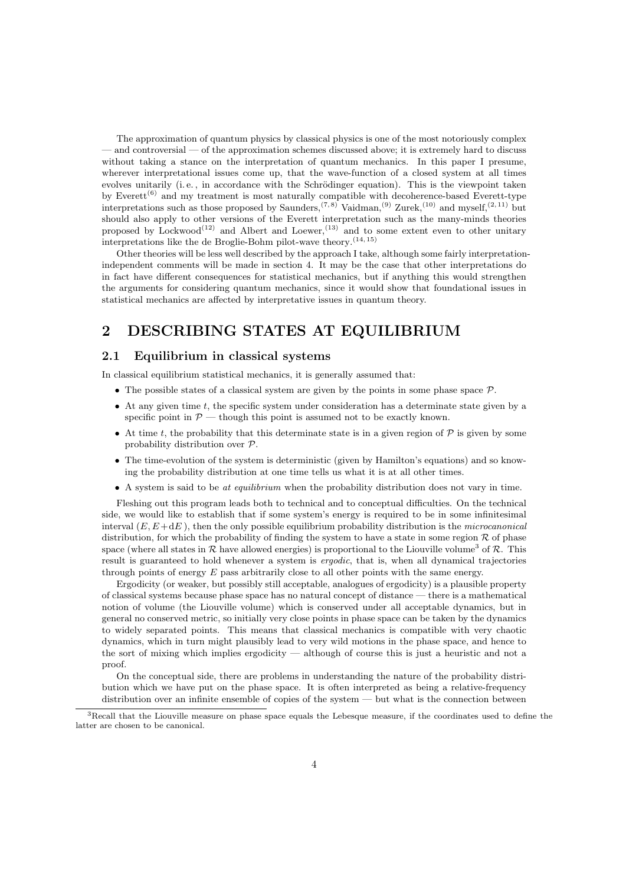The approximation of quantum physics by classical physics is one of the most notoriously complex — and controversial — of the approximation schemes discussed above; it is extremely hard to discuss without taking a stance on the interpretation of quantum mechanics. In this paper I presume, wherever interpretational issues come up, that the wave-function of a closed system at all times evolves unitarily (i.e., in accordance with the Schrödinger equation). This is the viewpoint taken by Everett<sup> $(6)$ </sup> and my treatment is most naturally compatible with decoherence-based Everett-type interpretations such as those proposed by Saunders,<sup>(7,8)</sup> Vaidman,<sup>(9)</sup> Zurek,<sup>(10)</sup> and myself,<sup>(2, 11)</sup> but should also apply to other versions of the Everett interpretation such as the many-minds theories proposed by Lockwood<sup>(12)</sup> and Albert and Loewer,<sup>(13)</sup> and to some extent even to other unitary interpretations like the de Broglie-Bohm pilot-wave theory.  $^{(14,\,15)}$ 

Other theories will be less well described by the approach I take, although some fairly interpretationindependent comments will be made in section 4. It may be the case that other interpretations do in fact have different consequences for statistical mechanics, but if anything this would strengthen the arguments for considering quantum mechanics, since it would show that foundational issues in statistical mechanics are affected by interpretative issues in quantum theory.

### 2 DESCRIBING STATES AT EQUILIBRIUM

### 2.1 Equilibrium in classical systems

In classical equilibrium statistical mechanics, it is generally assumed that:

- The possible states of a classical system are given by the points in some phase space  $\mathcal{P}$ .
- At any given time t, the specific system under consideration has a determinate state given by a specific point in  $P$  — though this point is assumed not to be exactly known.
- At time t, the probability that this determinate state is in a given region of  $P$  is given by some probability distribution over P.
- The time-evolution of the system is deterministic (given by Hamilton's equations) and so knowing the probability distribution at one time tells us what it is at all other times.
- A system is said to be at equilibrium when the probability distribution does not vary in time.

Fleshing out this program leads both to technical and to conceptual difficulties. On the technical side, we would like to establish that if some system's energy is required to be in some infinitesimal interval  $(E, E+dE)$ , then the only possible equilibrium probability distribution is the *microcanonical* distribution, for which the probability of finding the system to have a state in some region  $\mathcal R$  of phase space (where all states in  $R$  have allowed energies) is proportional to the Liouville volume<sup>3</sup> of  $R$ . This result is guaranteed to hold whenever a system is ergodic, that is, when all dynamical trajectories through points of energy  $E$  pass arbitrarily close to all other points with the same energy.

Ergodicity (or weaker, but possibly still acceptable, analogues of ergodicity) is a plausible property of classical systems because phase space has no natural concept of distance — there is a mathematical notion of volume (the Liouville volume) which is conserved under all acceptable dynamics, but in general no conserved metric, so initially very close points in phase space can be taken by the dynamics to widely separated points. This means that classical mechanics is compatible with very chaotic dynamics, which in turn might plausibly lead to very wild motions in the phase space, and hence to the sort of mixing which implies ergodicity — although of course this is just a heuristic and not a proof.

On the conceptual side, there are problems in understanding the nature of the probability distribution which we have put on the phase space. It is often interpreted as being a relative-frequency distribution over an infinite ensemble of copies of the system — but what is the connection between

 $3$ Recall that the Liouville measure on phase space equals the Lebesque measure, if the coordinates used to define the latter are chosen to be canonical.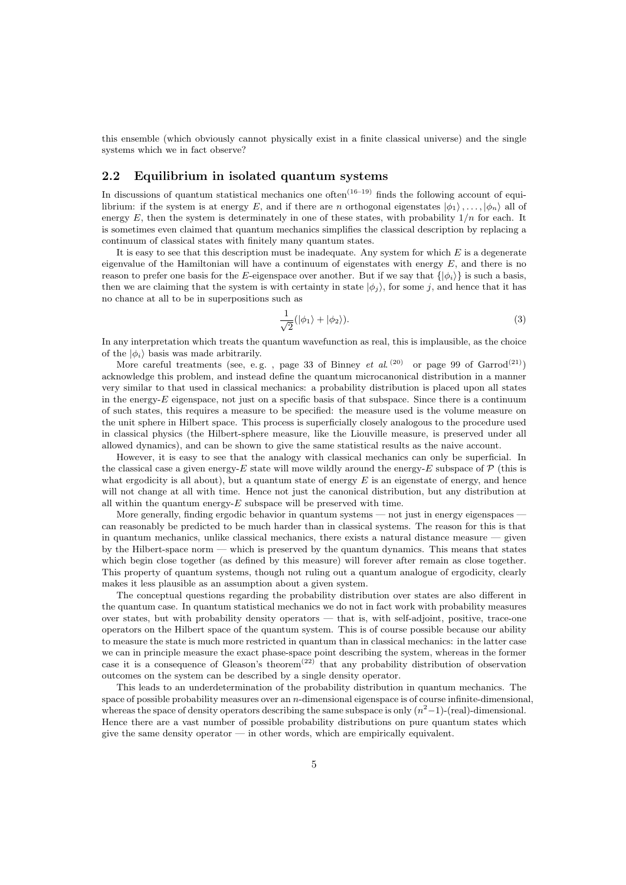this ensemble (which obviously cannot physically exist in a finite classical universe) and the single systems which we in fact observe?

### 2.2 Equilibrium in isolated quantum systems

In discussions of quantum statistical mechanics one often<sup> $(16-19)$ </sup> finds the following account of equilibrium: if the system is at energy E, and if there are n orthogonal eigenstates  $|\phi_1\rangle$ ,...,  $|\phi_n\rangle$  all of energy E, then the system is determinately in one of these states, with probability  $1/n$  for each. It is sometimes even claimed that quantum mechanics simplifies the classical description by replacing a continuum of classical states with finitely many quantum states.

It is easy to see that this description must be inadequate. Any system for which  $E$  is a degenerate eigenvalue of the Hamiltonian will have a continuum of eigenstates with energy  $E$ , and there is no reason to prefer one basis for the E-eigenspace over another. But if we say that  $\{|\phi_i\rangle\}$  is such a basis, then we are claiming that the system is with certainty in state  $|\phi_i\rangle$ , for some j, and hence that it has no chance at all to be in superpositions such as

$$
\frac{1}{\sqrt{2}}(|\phi_1\rangle + |\phi_2\rangle). \tag{3}
$$

In any interpretation which treats the quantum wavefunction as real, this is implausible, as the choice of the  $|\phi_i\rangle$  basis was made arbitrarily.

More careful treatments (see, e.g., page 33 of Binney *et al.*<sup>(20)</sup> or page 99 of  $Garrod<sup>(21)</sup>$ acknowledge this problem, and instead define the quantum microcanonical distribution in a manner very similar to that used in classical mechanics: a probability distribution is placed upon all states in the energy- $E$  eigenspace, not just on a specific basis of that subspace. Since there is a continuum of such states, this requires a measure to be specified: the measure used is the volume measure on the unit sphere in Hilbert space. This process is superficially closely analogous to the procedure used in classical physics (the Hilbert-sphere measure, like the Liouville measure, is preserved under all allowed dynamics), and can be shown to give the same statistical results as the naive account.

However, it is easy to see that the analogy with classical mechanics can only be superficial. In the classical case a given energy-E state will move wildly around the energy-E subspace of  $\mathcal{P}$  (this is what ergodicity is all about), but a quantum state of energy  $E$  is an eigenstate of energy, and hence will not change at all with time. Hence not just the canonical distribution, but any distribution at all within the quantum energy- $E$  subspace will be preserved with time.

More generally, finding ergodic behavior in quantum systems — not just in energy eigenspaces can reasonably be predicted to be much harder than in classical systems. The reason for this is that in quantum mechanics, unlike classical mechanics, there exists a natural distance measure  $-$  given by the Hilbert-space norm — which is preserved by the quantum dynamics. This means that states which begin close together (as defined by this measure) will forever after remain as close together. This property of quantum systems, though not ruling out a quantum analogue of ergodicity, clearly makes it less plausible as an assumption about a given system.

The conceptual questions regarding the probability distribution over states are also different in the quantum case. In quantum statistical mechanics we do not in fact work with probability measures over states, but with probability density operators — that is, with self-adjoint, positive, trace-one operators on the Hilbert space of the quantum system. This is of course possible because our ability to measure the state is much more restricted in quantum than in classical mechanics: in the latter case we can in principle measure the exact phase-space point describing the system, whereas in the former case it is a consequence of Gleason's theorem<sup> $(22)$ </sup> that any probability distribution of observation outcomes on the system can be described by a single density operator.

This leads to an underdetermination of the probability distribution in quantum mechanics. The space of possible probability measures over an  $n$ -dimensional eigenspace is of course infinite-dimensional, whereas the space of density operators describing the same subspace is only  $(n^2-1)$ -(real)-dimensional. Hence there are a vast number of possible probability distributions on pure quantum states which give the same density operator — in other words, which are empirically equivalent.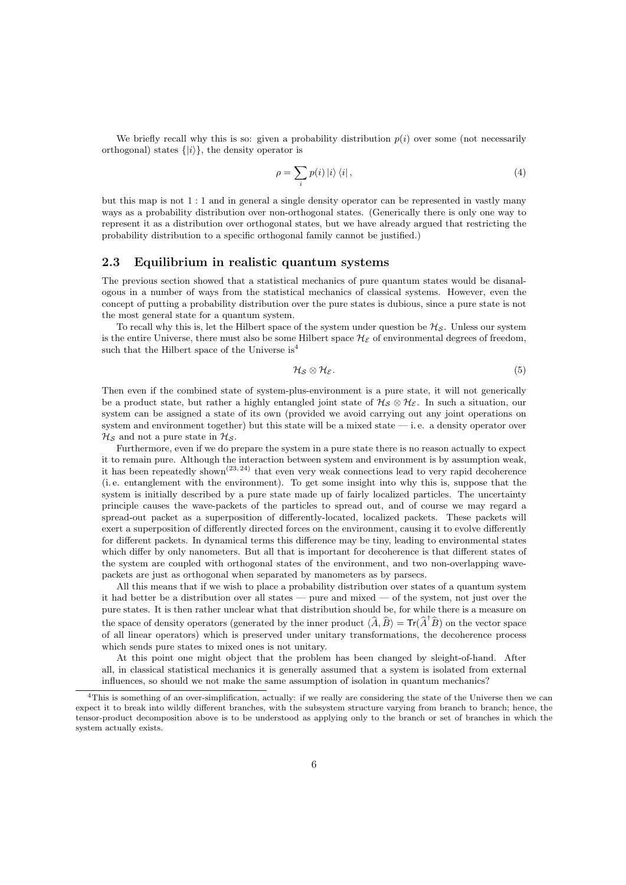We briefly recall why this is so: given a probability distribution  $p(i)$  over some (not necessarily orthogonal) states  $\{|i\rangle\}$ , the density operator is

$$
\rho = \sum_{i} p(i) |i\rangle \langle i| \,, \tag{4}
$$

but this map is not 1 : 1 and in general a single density operator can be represented in vastly many ways as a probability distribution over non-orthogonal states. (Generically there is only one way to represent it as a distribution over orthogonal states, but we have already argued that restricting the probability distribution to a specific orthogonal family cannot be justified.)

#### 2.3 Equilibrium in realistic quantum systems

The previous section showed that a statistical mechanics of pure quantum states would be disanalogous in a number of ways from the statistical mechanics of classical systems. However, even the concept of putting a probability distribution over the pure states is dubious, since a pure state is not the most general state for a quantum system.

To recall why this is, let the Hilbert space of the system under question be  $\mathcal{H}_{\mathcal{S}}$ . Unless our system is the entire Universe, there must also be some Hilbert space  $\mathcal{H}_{\mathcal{E}}$  of environmental degrees of freedom, such that the Hilbert space of the Universe is<sup>4</sup>

$$
\mathcal{H}_{\mathcal{S}} \otimes \mathcal{H}_{\mathcal{E}}.\tag{5}
$$

Then even if the combined state of system-plus-environment is a pure state, it will not generically be a product state, but rather a highly entangled joint state of  $\mathcal{H}_{\mathcal{S}} \otimes \mathcal{H}_{\mathcal{E}}$ . In such a situation, our system can be assigned a state of its own (provided we avoid carrying out any joint operations on system and environment together) but this state will be a mixed state — i. e. a density operator over  $\mathcal{H}_\mathcal{S}$  and not a pure state in  $\mathcal{H}_\mathcal{S}$ .

Furthermore, even if we do prepare the system in a pure state there is no reason actually to expect it to remain pure. Although the interaction between system and environment is by assumption weak, it has been repeatedly shown<sup> $(23, 24)$ </sup> that even very weak connections lead to very rapid decoherence (i. e. entanglement with the environment). To get some insight into why this is, suppose that the system is initially described by a pure state made up of fairly localized particles. The uncertainty principle causes the wave-packets of the particles to spread out, and of course we may regard a spread-out packet as a superposition of differently-located, localized packets. These packets will exert a superposition of differently directed forces on the environment, causing it to evolve differently for different packets. In dynamical terms this difference may be tiny, leading to environmental states which differ by only nanometers. But all that is important for decoherence is that different states of the system are coupled with orthogonal states of the environment, and two non-overlapping wavepackets are just as orthogonal when separated by manometers as by parsecs.

All this means that if we wish to place a probability distribution over states of a quantum system it had better be a distribution over all states — pure and mixed — of the system, not just over the pure states. It is then rather unclear what that distribution should be, for while there is a measure on the space of density operators (generated by the inner product  $\langle \hat{A}, \hat{B} \rangle = \text{Tr}(\hat{A}^{\dagger} \hat{B})$  on the vector space of all linear operators) which is preserved under unitary transformations, the decoherence process which sends pure states to mixed ones is not unitary.

At this point one might object that the problem has been changed by sleight-of-hand. After all, in classical statistical mechanics it is generally assumed that a system is isolated from external influences, so should we not make the same assumption of isolation in quantum mechanics?

 $4$ This is something of an over-simplification, actually: if we really are considering the state of the Universe then we can expect it to break into wildly different branches, with the subsystem structure varying from branch to branch; hence, the tensor-product decomposition above is to be understood as applying only to the branch or set of branches in which the system actually exists.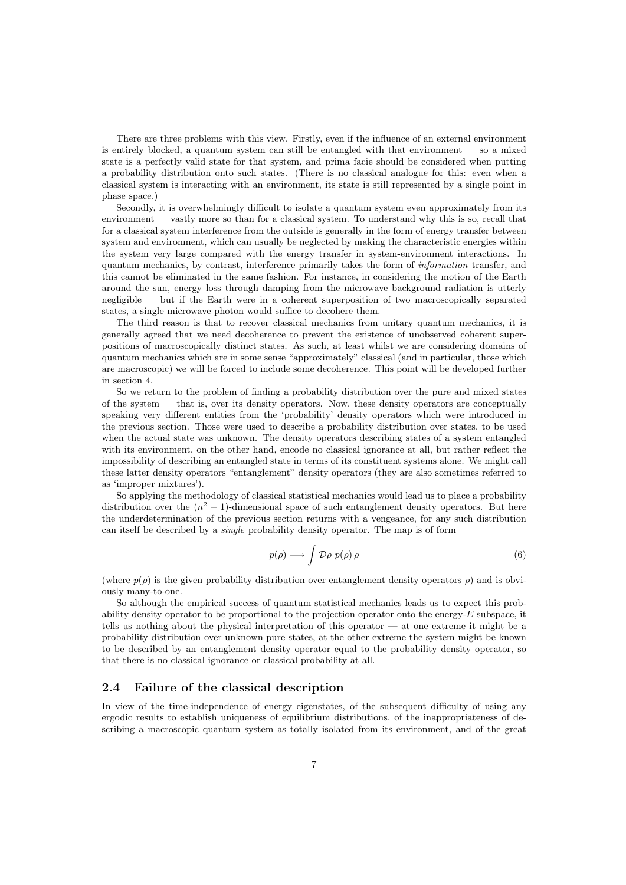There are three problems with this view. Firstly, even if the influence of an external environment is entirely blocked, a quantum system can still be entangled with that environment — so a mixed state is a perfectly valid state for that system, and prima facie should be considered when putting a probability distribution onto such states. (There is no classical analogue for this: even when a classical system is interacting with an environment, its state is still represented by a single point in phase space.)

Secondly, it is overwhelmingly difficult to isolate a quantum system even approximately from its environment — vastly more so than for a classical system. To understand why this is so, recall that for a classical system interference from the outside is generally in the form of energy transfer between system and environment, which can usually be neglected by making the characteristic energies within the system very large compared with the energy transfer in system-environment interactions. In quantum mechanics, by contrast, interference primarily takes the form of information transfer, and this cannot be eliminated in the same fashion. For instance, in considering the motion of the Earth around the sun, energy loss through damping from the microwave background radiation is utterly negligible — but if the Earth were in a coherent superposition of two macroscopically separated states, a single microwave photon would suffice to decohere them.

The third reason is that to recover classical mechanics from unitary quantum mechanics, it is generally agreed that we need decoherence to prevent the existence of unobserved coherent superpositions of macroscopically distinct states. As such, at least whilst we are considering domains of quantum mechanics which are in some sense "approximately" classical (and in particular, those which are macroscopic) we will be forced to include some decoherence. This point will be developed further in section 4.

So we return to the problem of finding a probability distribution over the pure and mixed states of the system — that is, over its density operators. Now, these density operators are conceptually speaking very different entities from the 'probability' density operators which were introduced in the previous section. Those were used to describe a probability distribution over states, to be used when the actual state was unknown. The density operators describing states of a system entangled with its environment, on the other hand, encode no classical ignorance at all, but rather reflect the impossibility of describing an entangled state in terms of its constituent systems alone. We might call these latter density operators "entanglement" density operators (they are also sometimes referred to as 'improper mixtures').

So applying the methodology of classical statistical mechanics would lead us to place a probability distribution over the  $(n^2 - 1)$ -dimensional space of such entanglement density operators. But here the underdetermination of the previous section returns with a vengeance, for any such distribution can itself be described by a single probability density operator. The map is of form

$$
p(\rho) \longrightarrow \int \mathcal{D}\rho \; p(\rho) \, \rho \tag{6}
$$

(where  $p(\rho)$  is the given probability distribution over entanglement density operators  $\rho$ ) and is obviously many-to-one.

So although the empirical success of quantum statistical mechanics leads us to expect this probability density operator to be proportional to the projection operator onto the energy- $E$  subspace, it tells us nothing about the physical interpretation of this operator — at one extreme it might be a probability distribution over unknown pure states, at the other extreme the system might be known to be described by an entanglement density operator equal to the probability density operator, so that there is no classical ignorance or classical probability at all.

### 2.4 Failure of the classical description

In view of the time-independence of energy eigenstates, of the subsequent difficulty of using any ergodic results to establish uniqueness of equilibrium distributions, of the inappropriateness of describing a macroscopic quantum system as totally isolated from its environment, and of the great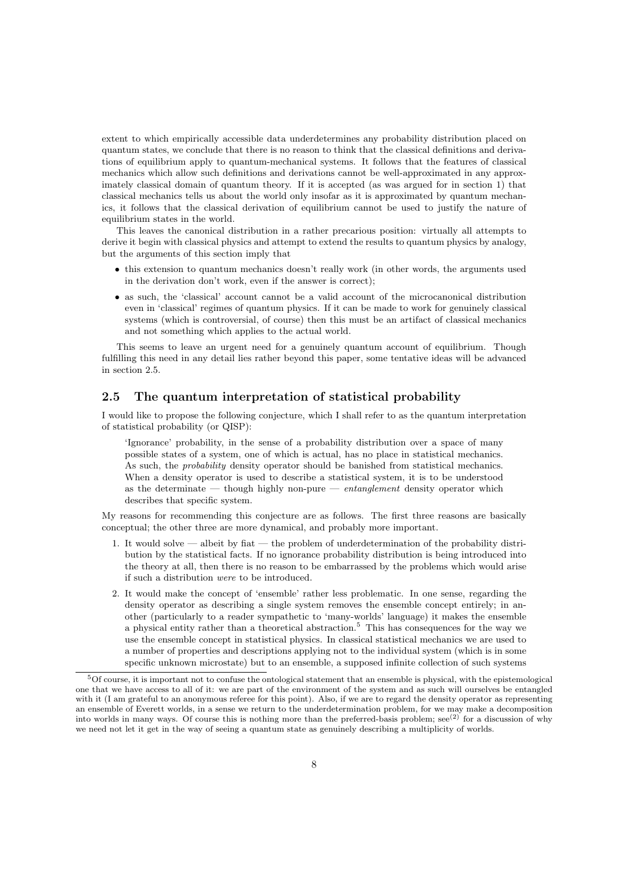extent to which empirically accessible data underdetermines any probability distribution placed on quantum states, we conclude that there is no reason to think that the classical definitions and derivations of equilibrium apply to quantum-mechanical systems. It follows that the features of classical mechanics which allow such definitions and derivations cannot be well-approximated in any approximately classical domain of quantum theory. If it is accepted (as was argued for in section 1) that classical mechanics tells us about the world only insofar as it is approximated by quantum mechanics, it follows that the classical derivation of equilibrium cannot be used to justify the nature of equilibrium states in the world.

This leaves the canonical distribution in a rather precarious position: virtually all attempts to derive it begin with classical physics and attempt to extend the results to quantum physics by analogy, but the arguments of this section imply that

- this extension to quantum mechanics doesn't really work (in other words, the arguments used in the derivation don't work, even if the answer is correct);
- as such, the 'classical' account cannot be a valid account of the microcanonical distribution even in 'classical' regimes of quantum physics. If it can be made to work for genuinely classical systems (which is controversial, of course) then this must be an artifact of classical mechanics and not something which applies to the actual world.

This seems to leave an urgent need for a genuinely quantum account of equilibrium. Though fulfilling this need in any detail lies rather beyond this paper, some tentative ideas will be advanced in section 2.5.

### 2.5 The quantum interpretation of statistical probability

I would like to propose the following conjecture, which I shall refer to as the quantum interpretation of statistical probability (or QISP):

'Ignorance' probability, in the sense of a probability distribution over a space of many possible states of a system, one of which is actual, has no place in statistical mechanics. As such, the *probability* density operator should be banished from statistical mechanics. When a density operator is used to describe a statistical system, it is to be understood as the determinate — though highly non-pure — entanglement density operator which describes that specific system.

My reasons for recommending this conjecture are as follows. The first three reasons are basically conceptual; the other three are more dynamical, and probably more important.

- 1. It would solve albeit by fiat the problem of underdetermination of the probability distribution by the statistical facts. If no ignorance probability distribution is being introduced into the theory at all, then there is no reason to be embarrassed by the problems which would arise if such a distribution were to be introduced.
- 2. It would make the concept of 'ensemble' rather less problematic. In one sense, regarding the density operator as describing a single system removes the ensemble concept entirely; in another (particularly to a reader sympathetic to 'many-worlds' language) it makes the ensemble a physical entity rather than a theoretical abstraction.<sup>5</sup> This has consequences for the way we use the ensemble concept in statistical physics. In classical statistical mechanics we are used to a number of properties and descriptions applying not to the individual system (which is in some specific unknown microstate) but to an ensemble, a supposed infinite collection of such systems

<sup>5</sup>Of course, it is important not to confuse the ontological statement that an ensemble is physical, with the epistemological one that we have access to all of it: we are part of the environment of the system and as such will ourselves be entangled with it (I am grateful to an anonymous referee for this point). Also, if we are to regard the density operator as representing an ensemble of Everett worlds, in a sense we return to the underdetermination problem, for we may make a decomposition into worlds in many ways. Of course this is nothing more than the preferred-basis problem;  $\sec^{(2)}$  for a discussion of why we need not let it get in the way of seeing a quantum state as genuinely describing a multiplicity of worlds.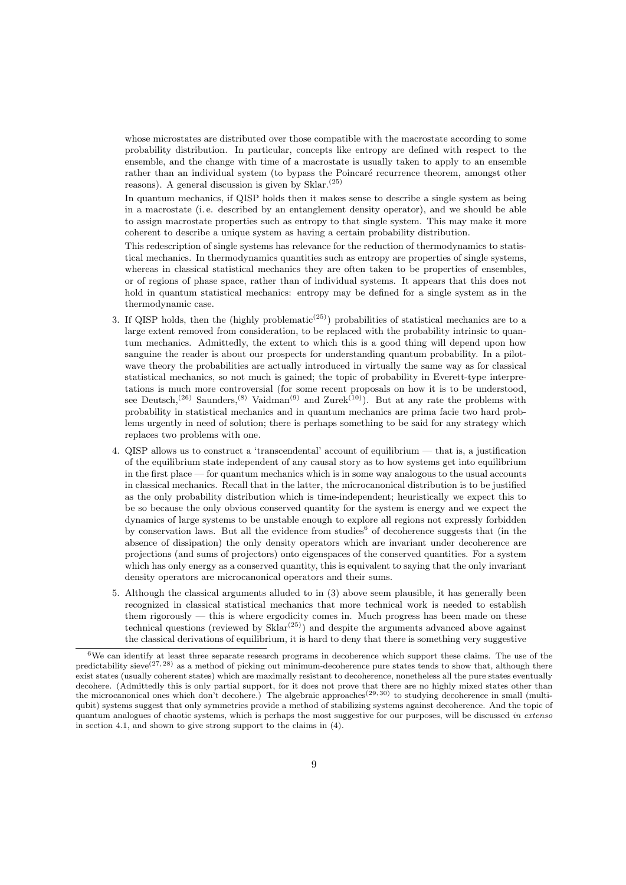whose microstates are distributed over those compatible with the macrostate according to some probability distribution. In particular, concepts like entropy are defined with respect to the ensemble, and the change with time of a macrostate is usually taken to apply to an ensemble rather than an individual system (to bypass the Poincaré recurrence theorem, amongst other reasons). A general discussion is given by  $\mathop{\rm Sklar}\nolimits^{(25)}$ 

In quantum mechanics, if QISP holds then it makes sense to describe a single system as being in a macrostate (i. e. described by an entanglement density operator), and we should be able to assign macrostate properties such as entropy to that single system. This may make it more coherent to describe a unique system as having a certain probability distribution.

This redescription of single systems has relevance for the reduction of thermodynamics to statistical mechanics. In thermodynamics quantities such as entropy are properties of single systems, whereas in classical statistical mechanics they are often taken to be properties of ensembles, or of regions of phase space, rather than of individual systems. It appears that this does not hold in quantum statistical mechanics: entropy may be defined for a single system as in the thermodynamic case.

- 3. If QISP holds, then the (highly problematic<sup>(25)</sup>) probabilities of statistical mechanics are to a large extent removed from consideration, to be replaced with the probability intrinsic to quantum mechanics. Admittedly, the extent to which this is a good thing will depend upon how sanguine the reader is about our prospects for understanding quantum probability. In a pilotwave theory the probabilities are actually introduced in virtually the same way as for classical statistical mechanics, so not much is gained; the topic of probability in Everett-type interpretations is much more controversial (for some recent proposals on how it is to be understood, see Deutsch,<sup>(26)</sup> Saunders,<sup>(8)</sup> Vaidman<sup>(9)</sup> and Zurek<sup>(10)</sup>). But at any rate the problems with probability in statistical mechanics and in quantum mechanics are prima facie two hard problems urgently in need of solution; there is perhaps something to be said for any strategy which replaces two problems with one.
- 4. QISP allows us to construct a 'transcendental' account of equilibrium that is, a justification of the equilibrium state independent of any causal story as to how systems get into equilibrium in the first place — for quantum mechanics which is in some way analogous to the usual accounts in classical mechanics. Recall that in the latter, the microcanonical distribution is to be justified as the only probability distribution which is time-independent; heuristically we expect this to be so because the only obvious conserved quantity for the system is energy and we expect the dynamics of large systems to be unstable enough to explore all regions not expressly forbidden by conservation laws. But all the evidence from studies<sup>6</sup> of decoherence suggests that (in the absence of dissipation) the only density operators which are invariant under decoherence are projections (and sums of projectors) onto eigenspaces of the conserved quantities. For a system which has only energy as a conserved quantity, this is equivalent to saying that the only invariant density operators are microcanonical operators and their sums.
- 5. Although the classical arguments alluded to in (3) above seem plausible, it has generally been recognized in classical statistical mechanics that more technical work is needed to establish them rigorously — this is where ergodicity comes in. Much progress has been made on these technical questions (reviewed by  $\text{Sklar}^{(25)}$ ) and despite the arguments advanced above against the classical derivations of equilibrium, it is hard to deny that there is something very suggestive

 $6$ We can identify at least three separate research programs in decoherence which support these claims. The use of the predictability sieve $(27, 28)$  as a method of picking out minimum-decoherence pure states tends to show that, although there exist states (usually coherent states) which are maximally resistant to decoherence, nonetheless all the pure states eventually decohere. (Admittedly this is only partial support, for it does not prove that there are no highly mixed states other than the microcanonical ones which don't decohere.) The algebraic approaches<sup>(29,30)</sup> to studying decoherence in small (multiqubit) systems suggest that only symmetries provide a method of stabilizing systems against decoherence. And the topic of quantum analogues of chaotic systems, which is perhaps the most suggestive for our purposes, will be discussed in extenso in section 4.1, and shown to give strong support to the claims in (4).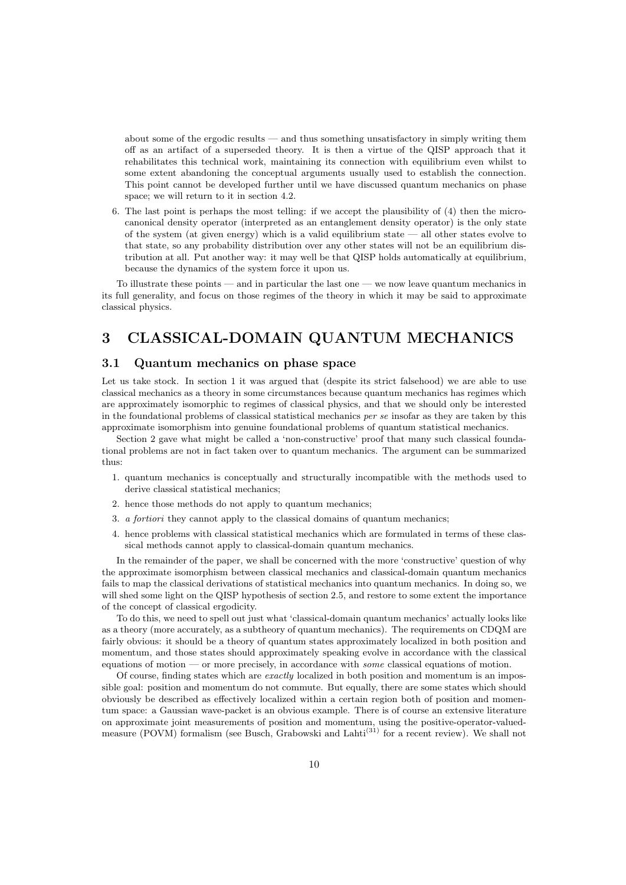about some of the ergodic results — and thus something unsatisfactory in simply writing them off as an artifact of a superseded theory. It is then a virtue of the QISP approach that it rehabilitates this technical work, maintaining its connection with equilibrium even whilst to some extent abandoning the conceptual arguments usually used to establish the connection. This point cannot be developed further until we have discussed quantum mechanics on phase space; we will return to it in section 4.2.

6. The last point is perhaps the most telling: if we accept the plausibility of (4) then the microcanonical density operator (interpreted as an entanglement density operator) is the only state of the system (at given energy) which is a valid equilibrium state — all other states evolve to that state, so any probability distribution over any other states will not be an equilibrium distribution at all. Put another way: it may well be that QISP holds automatically at equilibrium, because the dynamics of the system force it upon us.

To illustrate these points — and in particular the last one — we now leave quantum mechanics in its full generality, and focus on those regimes of the theory in which it may be said to approximate classical physics.

### 3 CLASSICAL-DOMAIN QUANTUM MECHANICS

#### 3.1 Quantum mechanics on phase space

Let us take stock. In section 1 it was argued that (despite its strict falsehood) we are able to use classical mechanics as a theory in some circumstances because quantum mechanics has regimes which are approximately isomorphic to regimes of classical physics, and that we should only be interested in the foundational problems of classical statistical mechanics per se insofar as they are taken by this approximate isomorphism into genuine foundational problems of quantum statistical mechanics.

Section 2 gave what might be called a 'non-constructive' proof that many such classical foundational problems are not in fact taken over to quantum mechanics. The argument can be summarized thus:

- 1. quantum mechanics is conceptually and structurally incompatible with the methods used to derive classical statistical mechanics;
- 2. hence those methods do not apply to quantum mechanics;
- 3. a fortiori they cannot apply to the classical domains of quantum mechanics;
- 4. hence problems with classical statistical mechanics which are formulated in terms of these classical methods cannot apply to classical-domain quantum mechanics.

In the remainder of the paper, we shall be concerned with the more 'constructive' question of why the approximate isomorphism between classical mechanics and classical-domain quantum mechanics fails to map the classical derivations of statistical mechanics into quantum mechanics. In doing so, we will shed some light on the QISP hypothesis of section 2.5, and restore to some extent the importance of the concept of classical ergodicity.

To do this, we need to spell out just what 'classical-domain quantum mechanics' actually looks like as a theory (more accurately, as a subtheory of quantum mechanics). The requirements on CDQM are fairly obvious: it should be a theory of quantum states approximately localized in both position and momentum, and those states should approximately speaking evolve in accordance with the classical equations of motion — or more precisely, in accordance with some classical equations of motion.

Of course, finding states which are exactly localized in both position and momentum is an impossible goal: position and momentum do not commute. But equally, there are some states which should obviously be described as effectively localized within a certain region both of position and momentum space: a Gaussian wave-packet is an obvious example. There is of course an extensive literature on approximate joint measurements of position and momentum, using the positive-operator-valuedmeasure (POVM) formalism (see Busch, Grabowski and Lahti<sup>(31)</sup> for a recent review). We shall not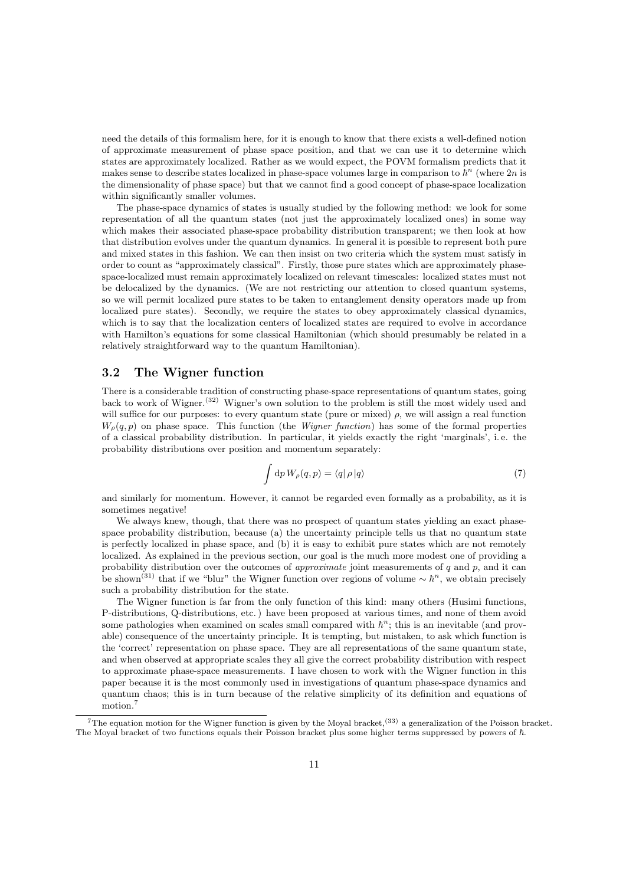need the details of this formalism here, for it is enough to know that there exists a well-defined notion of approximate measurement of phase space position, and that we can use it to determine which states are approximately localized. Rather as we would expect, the POVM formalism predicts that it makes sense to describe states localized in phase-space volumes large in comparison to  $\hbar^n$  (where  $2n$  is the dimensionality of phase space) but that we cannot find a good concept of phase-space localization within significantly smaller volumes.

The phase-space dynamics of states is usually studied by the following method: we look for some representation of all the quantum states (not just the approximately localized ones) in some way which makes their associated phase-space probability distribution transparent; we then look at how that distribution evolves under the quantum dynamics. In general it is possible to represent both pure and mixed states in this fashion. We can then insist on two criteria which the system must satisfy in order to count as "approximately classical". Firstly, those pure states which are approximately phasespace-localized must remain approximately localized on relevant timescales: localized states must not be delocalized by the dynamics. (We are not restricting our attention to closed quantum systems, so we will permit localized pure states to be taken to entanglement density operators made up from localized pure states). Secondly, we require the states to obey approximately classical dynamics, which is to say that the localization centers of localized states are required to evolve in accordance with Hamilton's equations for some classical Hamiltonian (which should presumably be related in a relatively straightforward way to the quantum Hamiltonian).

### 3.2 The Wigner function

There is a considerable tradition of constructing phase-space representations of quantum states, going back to work of Wigner.(32) Wigner's own solution to the problem is still the most widely used and will suffice for our purposes: to every quantum state (pure or mixed)  $\rho$ , we will assign a real function  $W_{\rho}(q, p)$  on phase space. This function (the *Wigner function*) has some of the formal properties of a classical probability distribution. In particular, it yields exactly the right 'marginals', i. e. the probability distributions over position and momentum separately:

$$
\int dp W_{\rho}(q, p) = \langle q | \rho | q \rangle \tag{7}
$$

and similarly for momentum. However, it cannot be regarded even formally as a probability, as it is sometimes negative!

We always knew, though, that there was no prospect of quantum states yielding an exact phasespace probability distribution, because (a) the uncertainty principle tells us that no quantum state is perfectly localized in phase space, and (b) it is easy to exhibit pure states which are not remotely localized. As explained in the previous section, our goal is the much more modest one of providing a probability distribution over the outcomes of *approximate* joint measurements of  $q$  and  $p$ , and it can be shown<sup>(31)</sup> that if we "blur" the Wigner function over regions of volume  $\sim \hbar^n$ , we obtain precisely such a probability distribution for the state.

The Wigner function is far from the only function of this kind: many others (Husimi functions, P-distributions, Q-distributions, etc. ) have been proposed at various times, and none of them avoid some pathologies when examined on scales small compared with  $\hbar^{n}$ ; this is an inevitable (and provable) consequence of the uncertainty principle. It is tempting, but mistaken, to ask which function is the 'correct' representation on phase space. They are all representations of the same quantum state, and when observed at appropriate scales they all give the correct probability distribution with respect to approximate phase-space measurements. I have chosen to work with the Wigner function in this paper because it is the most commonly used in investigations of quantum phase-space dynamics and quantum chaos; this is in turn because of the relative simplicity of its definition and equations of motion.<sup>7</sup>

<sup>&</sup>lt;sup>7</sup>The equation motion for the Wigner function is given by the Moyal bracket,<sup>(33)</sup> a generalization of the Poisson bracket. The Moyal bracket of two functions equals their Poisson bracket plus some higher terms suppressed by powers of  $\hbar$ .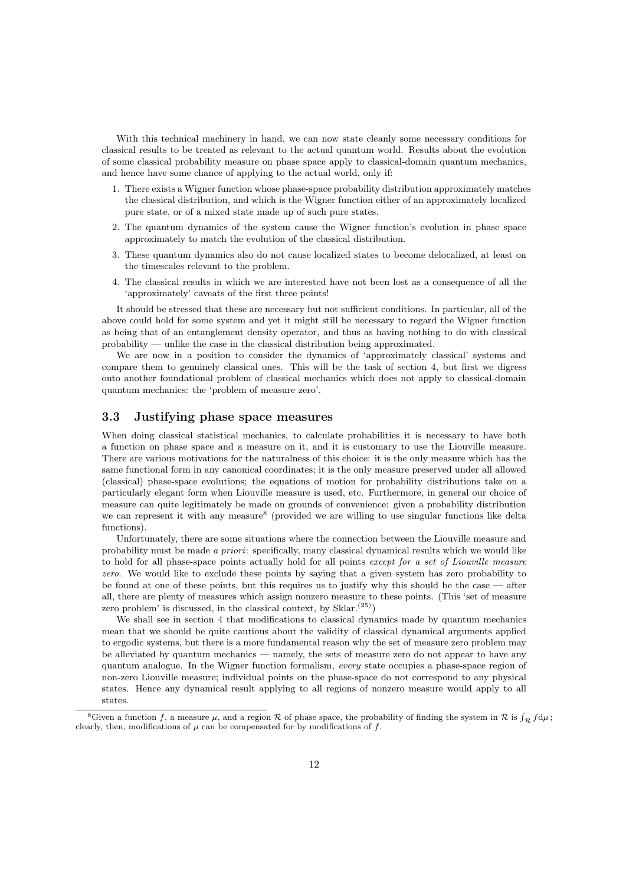With this technical machinery in hand, we can now state cleanly some necessary conditions for classical results to be treated as relevant to the actual quantum world. Results about the evolution of some classical probability measure on phase space apply to classical-domain quantum mechanics, and hence have some chance of applying to the actual world, only if:

- 1. There exists a Wigner function whose phase-space probability distribution approximately matches the classical distribution, and which is the Wigner function either of an approximately localized pure state, or of a mixed state made up of such pure states.
- 2. The quantum dynamics of the system cause the Wigner function's evolution in phase space approximately to match the evolution of the classical distribution.
- 3. These quantum dynamics also do not cause localized states to become delocalized, at least on the timescales relevant to the problem.
- 4. The classical results in which we are interested have not been lost as a consequence of all the 'approximately' caveats of the first three points!

It should be stressed that these are necessary but not sufficient conditions. In particular, all of the above could hold for some system and yet it might still be necessary to regard the Wigner function as being that of an entanglement density operator, and thus as having nothing to do with classical probability — unlike the case in the classical distribution being approximated.

We are now in a position to consider the dynamics of 'approximately classical' systems and compare them to genuinely classical ones. This will be the task of section 4, but first we digress onto another foundational problem of classical mechanics which does not apply to classical-domain quantum mechanics: the 'problem of measure zero'.

#### 3.3 Justifying phase space measures

When doing classical statistical mechanics, to calculate probabilities it is necessary to have both a function on phase space and a measure on it, and it is customary to use the Liouville measure. There are various motivations for the naturalness of this choice: it is the only measure which has the same functional form in any canonical coordinates; it is the only measure preserved under all allowed (classical) phase-space evolutions; the equations of motion for probability distributions take on a particularly elegant form when Liouville measure is used, etc. Furthermore, in general our choice of measure can quite legitimately be made on grounds of convenience: given a probability distribution we can represent it with any measure<sup>8</sup> (provided we are willing to use singular functions like delta functions).

Unfortunately, there are some situations where the connection between the Liouville measure and probability must be made a priori: specifically, many classical dynamical results which we would like to hold for all phase-space points actually hold for all points except for a set of Liouville measure zero. We would like to exclude these points by saying that a given system has zero probability to be found at one of these points, but this requires us to justify why this should be the case — after all, there are plenty of measures which assign nonzero measure to these points. (This 'set of measure zero problem' is discussed, in the classical context, by  $\text{Sklar.}^{(25)}$ )

We shall see in section 4 that modifications to classical dynamics made by quantum mechanics mean that we should be quite cautious about the validity of classical dynamical arguments applied to ergodic systems, but there is a more fundamental reason why the set of measure zero problem may be alleviated by quantum mechanics — namely, the sets of measure zero do not appear to have any quantum analogue. In the Wigner function formalism, every state occupies a phase-space region of non-zero Liouville measure; individual points on the phase-space do not correspond to any physical states. Hence any dynamical result applying to all regions of nonzero measure would apply to all states.

<sup>&</sup>lt;sup>8</sup>Given a function f, a measure  $\mu$ , and a region R of phase space, the probability of finding the system in R is  $\int_{\mathcal{R}} f d\mu$ ; clearly, then, modifications of  $\mu$  can be compensated for by modifications of  $f.$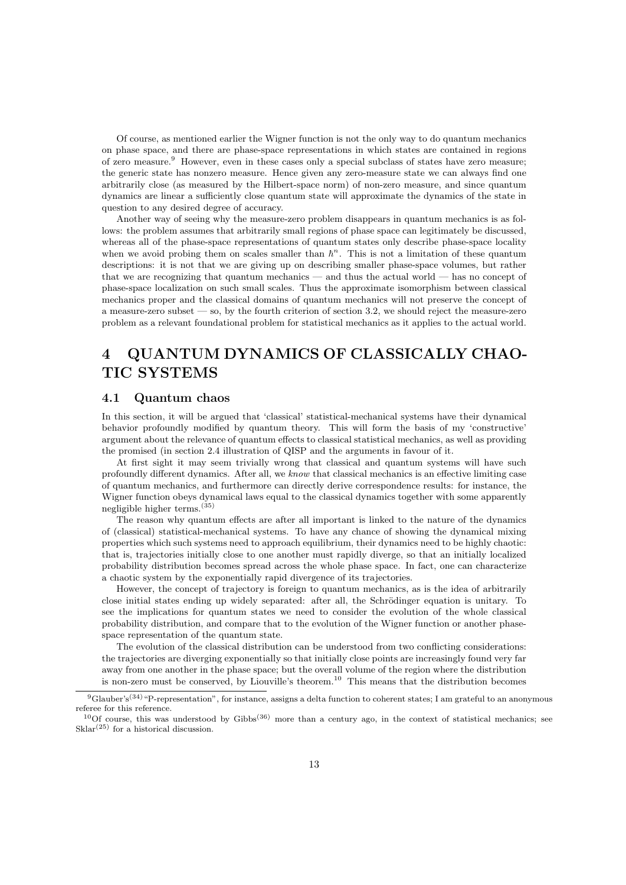Of course, as mentioned earlier the Wigner function is not the only way to do quantum mechanics on phase space, and there are phase-space representations in which states are contained in regions of zero measure.<sup>9</sup> However, even in these cases only a special subclass of states have zero measure; the generic state has nonzero measure. Hence given any zero-measure state we can always find one arbitrarily close (as measured by the Hilbert-space norm) of non-zero measure, and since quantum dynamics are linear a sufficiently close quantum state will approximate the dynamics of the state in question to any desired degree of accuracy.

Another way of seeing why the measure-zero problem disappears in quantum mechanics is as follows: the problem assumes that arbitrarily small regions of phase space can legitimately be discussed, whereas all of the phase-space representations of quantum states only describe phase-space locality when we avoid probing them on scales smaller than  $h<sup>n</sup>$ . This is not a limitation of these quantum descriptions: it is not that we are giving up on describing smaller phase-space volumes, but rather that we are recognizing that quantum mechanics — and thus the actual world — has no concept of phase-space localization on such small scales. Thus the approximate isomorphism between classical mechanics proper and the classical domains of quantum mechanics will not preserve the concept of a measure-zero subset  $-$  so, by the fourth criterion of section 3.2, we should reject the measure-zero problem as a relevant foundational problem for statistical mechanics as it applies to the actual world.

## 4 QUANTUM DYNAMICS OF CLASSICALLY CHAO-TIC SYSTEMS

### 4.1 Quantum chaos

In this section, it will be argued that 'classical' statistical-mechanical systems have their dynamical behavior profoundly modified by quantum theory. This will form the basis of my 'constructive' argument about the relevance of quantum effects to classical statistical mechanics, as well as providing the promised (in section 2.4 illustration of QISP and the arguments in favour of it.

At first sight it may seem trivially wrong that classical and quantum systems will have such profoundly different dynamics. After all, we know that classical mechanics is an effective limiting case of quantum mechanics, and furthermore can directly derive correspondence results: for instance, the Wigner function obeys dynamical laws equal to the classical dynamics together with some apparently negligible higher terms.(35)

The reason why quantum effects are after all important is linked to the nature of the dynamics of (classical) statistical-mechanical systems. To have any chance of showing the dynamical mixing properties which such systems need to approach equilibrium, their dynamics need to be highly chaotic: that is, trajectories initially close to one another must rapidly diverge, so that an initially localized probability distribution becomes spread across the whole phase space. In fact, one can characterize a chaotic system by the exponentially rapid divergence of its trajectories.

However, the concept of trajectory is foreign to quantum mechanics, as is the idea of arbitrarily close initial states ending up widely separated: after all, the Schrödinger equation is unitary. To see the implications for quantum states we need to consider the evolution of the whole classical probability distribution, and compare that to the evolution of the Wigner function or another phasespace representation of the quantum state.

The evolution of the classical distribution can be understood from two conflicting considerations: the trajectories are diverging exponentially so that initially close points are increasingly found very far away from one another in the phase space; but the overall volume of the region where the distribution is non-zero must be conserved, by Liouville's theorem.<sup>10</sup> This means that the distribution becomes

 $9$ Glauber's<sup>(34)</sup> "P-representation", for instance, assigns a delta function to coherent states; I am grateful to an anonymous referee for this reference.

 $^{10}$ Of course, this was understood by Gibbs<sup>(36)</sup> more than a century ago, in the context of statistical mechanics; see  $Sklar<sup>(25)</sup>$  for a historical discussion.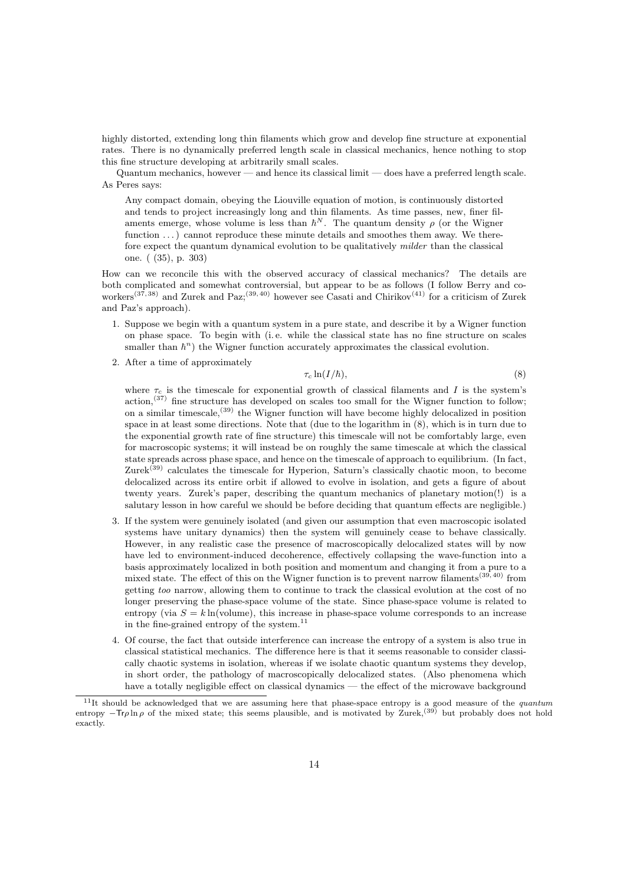highly distorted, extending long thin filaments which grow and develop fine structure at exponential rates. There is no dynamically preferred length scale in classical mechanics, hence nothing to stop this fine structure developing at arbitrarily small scales.

Quantum mechanics, however — and hence its classical limit — does have a preferred length scale. As Peres says:

Any compact domain, obeying the Liouville equation of motion, is continuously distorted and tends to project increasingly long and thin filaments. As time passes, new, finer filaments emerge, whose volume is less than  $\hbar^{N}$ . The quantum density  $\rho$  (or the Wigner function ...) cannot reproduce these minute details and smoothes them away. We therefore expect the quantum dynamical evolution to be qualitatively *milder* than the classical one. ( (35), p. 303)

How can we reconcile this with the observed accuracy of classical mechanics? The details are both complicated and somewhat controversial, but appear to be as follows (I follow Berry and coworkers<sup>(37, 38)</sup> and Zurek and Paz;<sup>(39, 40)</sup> however see Casati and Chirikov<sup>(41)</sup> for a criticism of Zurek and Paz's approach).

- 1. Suppose we begin with a quantum system in a pure state, and describe it by a Wigner function on phase space. To begin with (i. e. while the classical state has no fine structure on scales smaller than  $h^n$ ) the Wigner function accurately approximates the classical evolution.
- 2. After a time of approximately

$$
\tau_c \ln(I/\hbar),\tag{8}
$$

where  $\tau_c$  is the timescale for exponential growth of classical filaments and I is the system's  $\arctan$ ,<sup>(37)</sup> fine structure has developed on scales too small for the Wigner function to follow; on a similar timescale,(39) the Wigner function will have become highly delocalized in position space in at least some directions. Note that (due to the logarithm in (8), which is in turn due to the exponential growth rate of fine structure) this timescale will not be comfortably large, even for macroscopic systems; it will instead be on roughly the same timescale at which the classical state spreads across phase space, and hence on the timescale of approach to equilibrium. (In fact, Zurek<sup>(39)</sup> calculates the timescale for Hyperion, Saturn's classically chaotic moon, to become delocalized across its entire orbit if allowed to evolve in isolation, and gets a figure of about twenty years. Zurek's paper, describing the quantum mechanics of planetary motion(!) is a salutary lesson in how careful we should be before deciding that quantum effects are negligible.)

- 3. If the system were genuinely isolated (and given our assumption that even macroscopic isolated systems have unitary dynamics) then the system will genuinely cease to behave classically. However, in any realistic case the presence of macroscopically delocalized states will by now have led to environment-induced decoherence, effectively collapsing the wave-function into a basis approximately localized in both position and momentum and changing it from a pure to a mixed state. The effect of this on the Wigner function is to prevent narrow filaments<sup>(39,40)</sup> from getting too narrow, allowing them to continue to track the classical evolution at the cost of no longer preserving the phase-space volume of the state. Since phase-space volume is related to entropy (via  $S = k \ln(\text{volume})$ , this increase in phase-space volume corresponds to an increase in the fine-grained entropy of the system.  $^{\rm 11}$
- 4. Of course, the fact that outside interference can increase the entropy of a system is also true in classical statistical mechanics. The difference here is that it seems reasonable to consider classically chaotic systems in isolation, whereas if we isolate chaotic quantum systems they develop, in short order, the pathology of macroscopically delocalized states. (Also phenomena which have a totally negligible effect on classical dynamics — the effect of the microwave background

 $11$ It should be acknowledged that we are assuming here that phase-space entropy is a good measure of the *quantum* entropy  $-Tr\rho \ln \rho$  of the mixed state; this seems plausible, and is motivated by Zurek,<sup>(39)</sup> but probably does not hold exactly.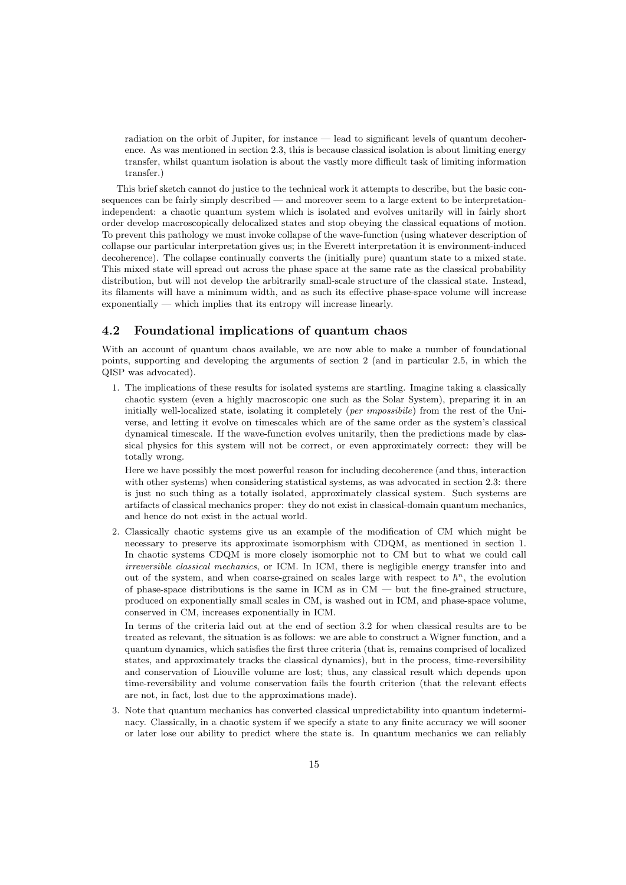radiation on the orbit of Jupiter, for instance — lead to significant levels of quantum decoherence. As was mentioned in section 2.3, this is because classical isolation is about limiting energy transfer, whilst quantum isolation is about the vastly more difficult task of limiting information transfer.)

This brief sketch cannot do justice to the technical work it attempts to describe, but the basic consequences can be fairly simply described — and moreover seem to a large extent to be interpretationindependent: a chaotic quantum system which is isolated and evolves unitarily will in fairly short order develop macroscopically delocalized states and stop obeying the classical equations of motion. To prevent this pathology we must invoke collapse of the wave-function (using whatever description of collapse our particular interpretation gives us; in the Everett interpretation it is environment-induced decoherence). The collapse continually converts the (initially pure) quantum state to a mixed state. This mixed state will spread out across the phase space at the same rate as the classical probability distribution, but will not develop the arbitrarily small-scale structure of the classical state. Instead, its filaments will have a minimum width, and as such its effective phase-space volume will increase exponentially — which implies that its entropy will increase linearly.

### 4.2 Foundational implications of quantum chaos

With an account of quantum chaos available, we are now able to make a number of foundational points, supporting and developing the arguments of section 2 (and in particular 2.5, in which the QISP was advocated).

1. The implications of these results for isolated systems are startling. Imagine taking a classically chaotic system (even a highly macroscopic one such as the Solar System), preparing it in an initially well-localized state, isolating it completely (per impossibile) from the rest of the Universe, and letting it evolve on timescales which are of the same order as the system's classical dynamical timescale. If the wave-function evolves unitarily, then the predictions made by classical physics for this system will not be correct, or even approximately correct: they will be totally wrong.

Here we have possibly the most powerful reason for including decoherence (and thus, interaction with other systems) when considering statistical systems, as was advocated in section 2.3: there is just no such thing as a totally isolated, approximately classical system. Such systems are artifacts of classical mechanics proper: they do not exist in classical-domain quantum mechanics, and hence do not exist in the actual world.

2. Classically chaotic systems give us an example of the modification of CM which might be necessary to preserve its approximate isomorphism with CDQM, as mentioned in section 1. In chaotic systems CDQM is more closely isomorphic not to CM but to what we could call irreversible classical mechanics, or ICM. In ICM, there is negligible energy transfer into and out of the system, and when coarse-grained on scales large with respect to  $h<sup>n</sup>$ , the evolution of phase-space distributions is the same in  $\text{ICM}$  as in  $\text{CM}$  — but the fine-grained structure, produced on exponentially small scales in CM, is washed out in ICM, and phase-space volume, conserved in CM, increases exponentially in ICM.

In terms of the criteria laid out at the end of section 3.2 for when classical results are to be treated as relevant, the situation is as follows: we are able to construct a Wigner function, and a quantum dynamics, which satisfies the first three criteria (that is, remains comprised of localized states, and approximately tracks the classical dynamics), but in the process, time-reversibility and conservation of Liouville volume are lost; thus, any classical result which depends upon time-reversibility and volume conservation fails the fourth criterion (that the relevant effects are not, in fact, lost due to the approximations made).

3. Note that quantum mechanics has converted classical unpredictability into quantum indeterminacy. Classically, in a chaotic system if we specify a state to any finite accuracy we will sooner or later lose our ability to predict where the state is. In quantum mechanics we can reliably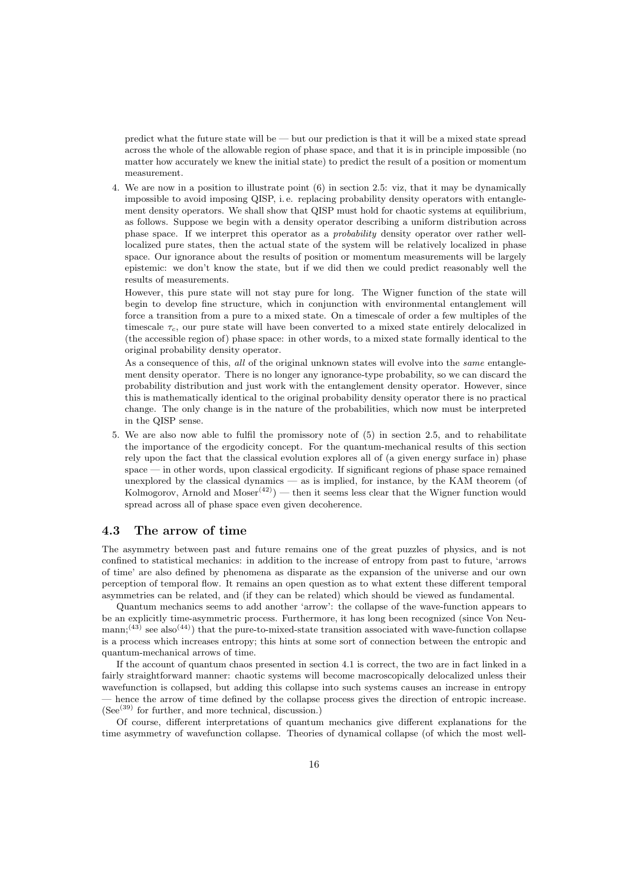predict what the future state will be — but our prediction is that it will be a mixed state spread across the whole of the allowable region of phase space, and that it is in principle impossible (no matter how accurately we knew the initial state) to predict the result of a position or momentum measurement.

4. We are now in a position to illustrate point (6) in section 2.5: viz, that it may be dynamically impossible to avoid imposing QISP, i. e. replacing probability density operators with entanglement density operators. We shall show that QISP must hold for chaotic systems at equilibrium, as follows. Suppose we begin with a density operator describing a uniform distribution across phase space. If we interpret this operator as a probability density operator over rather welllocalized pure states, then the actual state of the system will be relatively localized in phase space. Our ignorance about the results of position or momentum measurements will be largely epistemic: we don't know the state, but if we did then we could predict reasonably well the results of measurements.

However, this pure state will not stay pure for long. The Wigner function of the state will begin to develop fine structure, which in conjunction with environmental entanglement will force a transition from a pure to a mixed state. On a timescale of order a few multiples of the timescale  $\tau_c$ , our pure state will have been converted to a mixed state entirely delocalized in (the accessible region of) phase space: in other words, to a mixed state formally identical to the original probability density operator.

As a consequence of this, all of the original unknown states will evolve into the *same* entanglement density operator. There is no longer any ignorance-type probability, so we can discard the probability distribution and just work with the entanglement density operator. However, since this is mathematically identical to the original probability density operator there is no practical change. The only change is in the nature of the probabilities, which now must be interpreted in the QISP sense.

5. We are also now able to fulfil the promissory note of (5) in section 2.5, and to rehabilitate the importance of the ergodicity concept. For the quantum-mechanical results of this section rely upon the fact that the classical evolution explores all of (a given energy surface in) phase space — in other words, upon classical ergodicity. If significant regions of phase space remained unexplored by the classical dynamics  $\frac{1}{2}$  as is implied, for instance, by the KAM theorem (of Kolmogorov, Arnold and Moser<sup> $(42)$ </sup>) — then it seems less clear that the Wigner function would spread across all of phase space even given decoherence.

#### 4.3 The arrow of time

The asymmetry between past and future remains one of the great puzzles of physics, and is not confined to statistical mechanics: in addition to the increase of entropy from past to future, 'arrows of time' are also defined by phenomena as disparate as the expansion of the universe and our own perception of temporal flow. It remains an open question as to what extent these different temporal asymmetries can be related, and (if they can be related) which should be viewed as fundamental.

Quantum mechanics seems to add another 'arrow': the collapse of the wave-function appears to be an explicitly time-asymmetric process. Furthermore, it has long been recognized (since Von Neu- $\text{mann};^{(43)}$  see also<sup>(44)</sup>) that the pure-to-mixed-state transition associated with wave-function collapse is a process which increases entropy; this hints at some sort of connection between the entropic and quantum-mechanical arrows of time.

If the account of quantum chaos presented in section 4.1 is correct, the two are in fact linked in a fairly straightforward manner: chaotic systems will become macroscopically delocalized unless their wavefunction is collapsed, but adding this collapse into such systems causes an increase in entropy hence the arrow of time defined by the collapse process gives the direction of entropic increase.  $(See^{(39)}$  for further, and more technical, discussion.)

Of course, different interpretations of quantum mechanics give different explanations for the time asymmetry of wavefunction collapse. Theories of dynamical collapse (of which the most well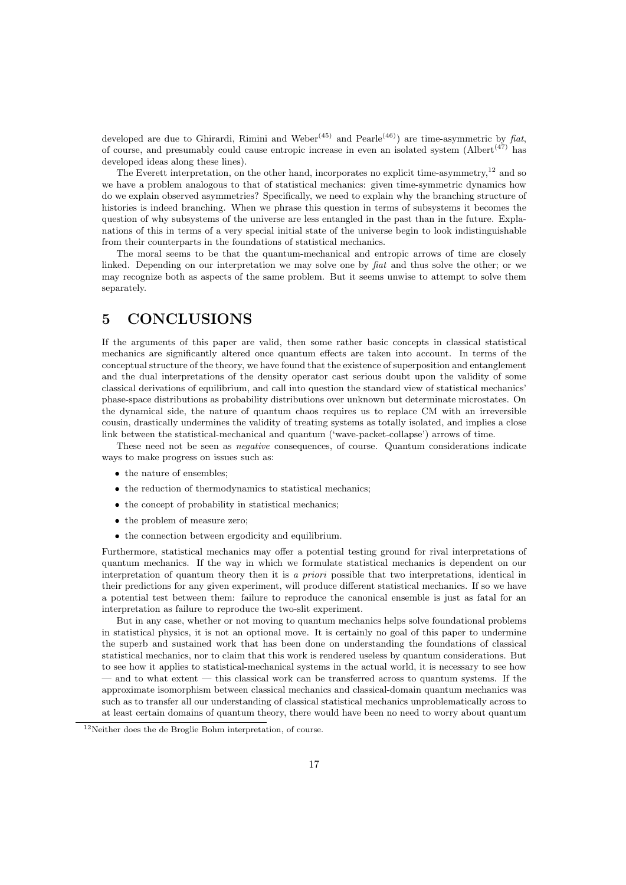developed are due to Ghirardi, Rimini and Weber<sup>(45)</sup> and Pearle<sup>(46)</sup>) are time-asymmetric by fiat, of course, and presumably could cause entropic increase in even an isolated system  $(AIbert^{(47)}$  has developed ideas along these lines).

The Everett interpretation, on the other hand, incorporates no explicit time-asymmetry,<sup>12</sup> and so we have a problem analogous to that of statistical mechanics: given time-symmetric dynamics how do we explain observed asymmetries? Specifically, we need to explain why the branching structure of histories is indeed branching. When we phrase this question in terms of subsystems it becomes the question of why subsystems of the universe are less entangled in the past than in the future. Explanations of this in terms of a very special initial state of the universe begin to look indistinguishable from their counterparts in the foundations of statistical mechanics.

The moral seems to be that the quantum-mechanical and entropic arrows of time are closely linked. Depending on our interpretation we may solve one by fiat and thus solve the other; or we may recognize both as aspects of the same problem. But it seems unwise to attempt to solve them separately.

### 5 CONCLUSIONS

If the arguments of this paper are valid, then some rather basic concepts in classical statistical mechanics are significantly altered once quantum effects are taken into account. In terms of the conceptual structure of the theory, we have found that the existence of superposition and entanglement and the dual interpretations of the density operator cast serious doubt upon the validity of some classical derivations of equilibrium, and call into question the standard view of statistical mechanics' phase-space distributions as probability distributions over unknown but determinate microstates. On the dynamical side, the nature of quantum chaos requires us to replace CM with an irreversible cousin, drastically undermines the validity of treating systems as totally isolated, and implies a close link between the statistical-mechanical and quantum ('wave-packet-collapse') arrows of time.

These need not be seen as negative consequences, of course. Quantum considerations indicate ways to make progress on issues such as:

- the nature of ensembles;
- the reduction of thermodynamics to statistical mechanics;
- the concept of probability in statistical mechanics;
- the problem of measure zero;
- the connection between ergodicity and equilibrium.

Furthermore, statistical mechanics may offer a potential testing ground for rival interpretations of quantum mechanics. If the way in which we formulate statistical mechanics is dependent on our interpretation of quantum theory then it is a priori possible that two interpretations, identical in their predictions for any given experiment, will produce different statistical mechanics. If so we have a potential test between them: failure to reproduce the canonical ensemble is just as fatal for an interpretation as failure to reproduce the two-slit experiment.

But in any case, whether or not moving to quantum mechanics helps solve foundational problems in statistical physics, it is not an optional move. It is certainly no goal of this paper to undermine the superb and sustained work that has been done on understanding the foundations of classical statistical mechanics, nor to claim that this work is rendered useless by quantum considerations. But to see how it applies to statistical-mechanical systems in the actual world, it is necessary to see how and to what extent  $-$  this classical work can be transferred across to quantum systems. If the approximate isomorphism between classical mechanics and classical-domain quantum mechanics was such as to transfer all our understanding of classical statistical mechanics unproblematically across to at least certain domains of quantum theory, there would have been no need to worry about quantum

 $12$ Neither does the de Broglie Bohm interpretation, of course.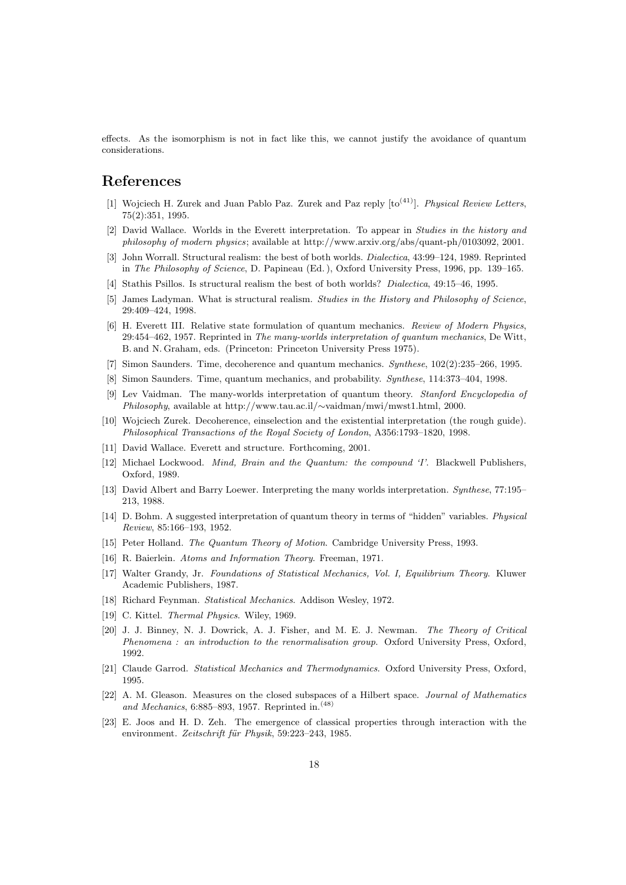effects. As the isomorphism is not in fact like this, we cannot justify the avoidance of quantum considerations.

### References

- [1] Wojciech H. Zurek and Juan Pablo Paz. Zurek and Paz reply  $[to^{(41)}]$ . Physical Review Letters, 75(2):351, 1995.
- [2] David Wallace. Worlds in the Everett interpretation. To appear in Studies in the history and philosophy of modern physics; available at http://www.arxiv.org/abs/quant-ph/0103092, 2001.
- [3] John Worrall. Structural realism: the best of both worlds. *Dialectica*, 43:99–124, 1989. Reprinted in The Philosophy of Science, D. Papineau (Ed. ), Oxford University Press, 1996, pp. 139–165.
- [4] Stathis Psillos. Is structural realism the best of both worlds? Dialectica, 49:15–46, 1995.
- [5] James Ladyman. What is structural realism. Studies in the History and Philosophy of Science, 29:409–424, 1998.
- [6] H. Everett III. Relative state formulation of quantum mechanics. Review of Modern Physics, 29:454–462, 1957. Reprinted in The many-worlds interpretation of quantum mechanics, De Witt, B. and N. Graham, eds. (Princeton: Princeton University Press 1975).
- [7] Simon Saunders. Time, decoherence and quantum mechanics. Synthese, 102(2):235–266, 1995.
- [8] Simon Saunders. Time, quantum mechanics, and probability. Synthese, 114:373–404, 1998.
- [9] Lev Vaidman. The many-worlds interpretation of quantum theory. Stanford Encyclopedia of Philosophy, available at http://www.tau.ac.il/∼vaidman/mwi/mwst1.html, 2000.
- [10] Wojciech Zurek. Decoherence, einselection and the existential interpretation (the rough guide). Philosophical Transactions of the Royal Society of London, A356:1793–1820, 1998.
- [11] David Wallace. Everett and structure. Forthcoming, 2001.
- [12] Michael Lockwood. Mind, Brain and the Quantum: the compound 'I'. Blackwell Publishers, Oxford, 1989.
- [13] David Albert and Barry Loewer. Interpreting the many worlds interpretation. Synthese, 77:195– 213, 1988.
- [14] D. Bohm. A suggested interpretation of quantum theory in terms of "hidden" variables. Physical Review, 85:166–193, 1952.
- [15] Peter Holland. The Quantum Theory of Motion. Cambridge University Press, 1993.
- [16] R. Baierlein. Atoms and Information Theory. Freeman, 1971.
- [17] Walter Grandy, Jr. Foundations of Statistical Mechanics, Vol. I, Equilibrium Theory. Kluwer Academic Publishers, 1987.
- [18] Richard Feynman. Statistical Mechanics. Addison Wesley, 1972.
- [19] C. Kittel. *Thermal Physics*. Wiley, 1969.
- [20] J. J. Binney, N. J. Dowrick, A. J. Fisher, and M. E. J. Newman. The Theory of Critical Phenomena : an introduction to the renormalisation group. Oxford University Press, Oxford, 1992.
- [21] Claude Garrod. Statistical Mechanics and Thermodynamics. Oxford University Press, Oxford, 1995.
- [22] A. M. Gleason. Measures on the closed subspaces of a Hilbert space. Journal of Mathematics and Mechanics, 6:885–893, 1957. Reprinted in.(48)
- [23] E. Joos and H. D. Zeh. The emergence of classical properties through interaction with the environment. Zeitschrift für Physik, 59:223-243, 1985.